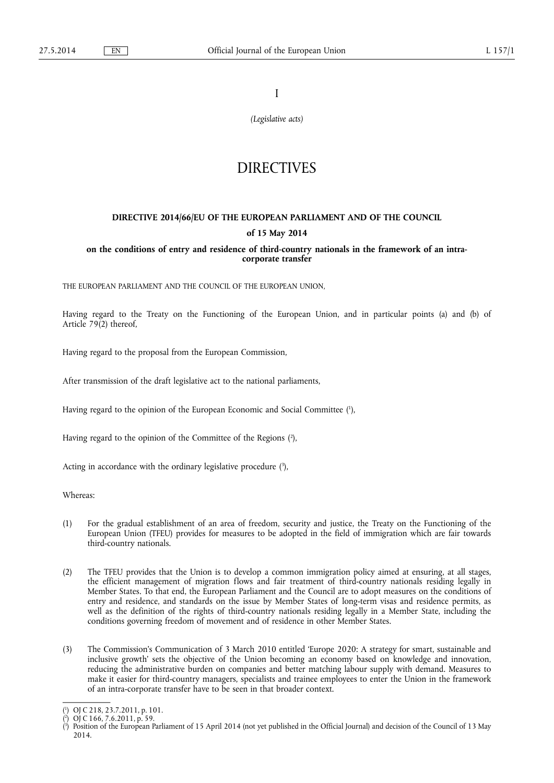I

*(Legislative acts)* 

# **DIRECTIVES**

# **DIRECTIVE 2014/66/EU OF THE EUROPEAN PARLIAMENT AND OF THE COUNCIL**

# **of 15 May 2014**

**on the conditions of entry and residence of third-country nationals in the framework of an intracorporate transfer** 

THE EUROPEAN PARLIAMENT AND THE COUNCIL OF THE EUROPEAN UNION,

Having regard to the Treaty on the Functioning of the European Union, and in particular points (a) and (b) of Article 79(2) thereof,

Having regard to the proposal from the European Commission,

After transmission of the draft legislative act to the national parliaments,

Having regard to the opinion of the European Economic and Social Committee ( 1 ),

Having regard to the opinion of the Committee of the Regions ( 2 ),

Acting in accordance with the ordinary legislative procedure (3),

Whereas:

- (1) For the gradual establishment of an area of freedom, security and justice, the Treaty on the Functioning of the European Union (TFEU) provides for measures to be adopted in the field of immigration which are fair towards third-country nationals.
- (2) The TFEU provides that the Union is to develop a common immigration policy aimed at ensuring, at all stages, the efficient management of migration flows and fair treatment of third-country nationals residing legally in Member States. To that end, the European Parliament and the Council are to adopt measures on the conditions of entry and residence, and standards on the issue by Member States of long-term visas and residence permits, as well as the definition of the rights of third-country nationals residing legally in a Member State, including the conditions governing freedom of movement and of residence in other Member States.
- (3) The Commission's Communication of 3 March 2010 entitled 'Europe 2020: A strategy for smart, sustainable and inclusive growth' sets the objective of the Union becoming an economy based on knowledge and innovation, reducing the administrative burden on companies and better matching labour supply with demand. Measures to make it easier for third-country managers, specialists and trainee employees to enter the Union in the framework of an intra-corporate transfer have to be seen in that broader context.

<sup>(</sup> 1 ) OJ C 218, 23.7.2011, p. 101.

<sup>(</sup> 2 ) OJ C 166, 7.6.2011, p. 59.

<sup>(</sup> 3 ) Position of the European Parliament of 15 April 2014 (not yet published in the Official Journal) and decision of the Council of 13 May 2014.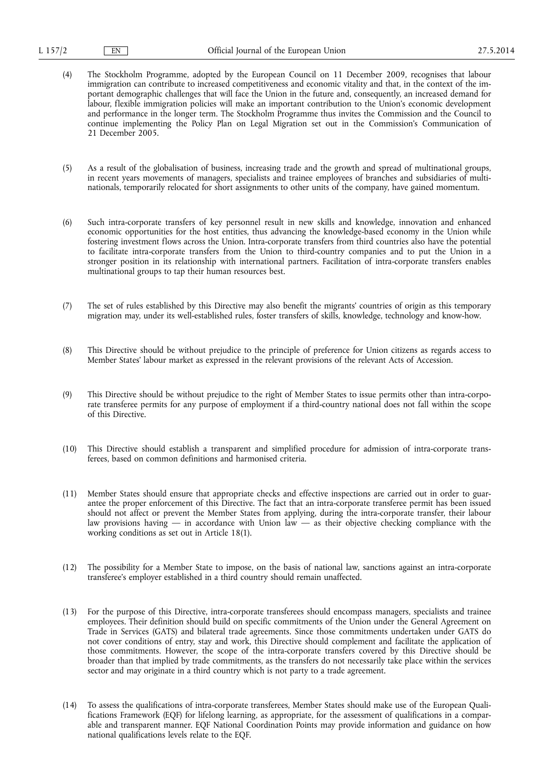- (4) The Stockholm Programme, adopted by the European Council on 11 December 2009, recognises that labour immigration can contribute to increased competitiveness and economic vitality and that, in the context of the important demographic challenges that will face the Union in the future and, consequently, an increased demand for labour, flexible immigration policies will make an important contribution to the Union's economic development and performance in the longer term. The Stockholm Programme thus invites the Commission and the Council to continue implementing the Policy Plan on Legal Migration set out in the Commission's Communication of 21 December 2005.
- (5) As a result of the globalisation of business, increasing trade and the growth and spread of multinational groups, in recent years movements of managers, specialists and trainee employees of branches and subsidiaries of multinationals, temporarily relocated for short assignments to other units of the company, have gained momentum.
- (6) Such intra-corporate transfers of key personnel result in new skills and knowledge, innovation and enhanced economic opportunities for the host entities, thus advancing the knowledge-based economy in the Union while fostering investment flows across the Union. Intra-corporate transfers from third countries also have the potential to facilitate intra-corporate transfers from the Union to third-country companies and to put the Union in a stronger position in its relationship with international partners. Facilitation of intra-corporate transfers enables multinational groups to tap their human resources best.
- (7) The set of rules established by this Directive may also benefit the migrants' countries of origin as this temporary migration may, under its well-established rules, foster transfers of skills, knowledge, technology and know-how.
- (8) This Directive should be without prejudice to the principle of preference for Union citizens as regards access to Member States' labour market as expressed in the relevant provisions of the relevant Acts of Accession.
- (9) This Directive should be without prejudice to the right of Member States to issue permits other than intra-corporate transferee permits for any purpose of employment if a third-country national does not fall within the scope of this Directive.
- (10) This Directive should establish a transparent and simplified procedure for admission of intra-corporate transferees, based on common definitions and harmonised criteria.
- (11) Member States should ensure that appropriate checks and effective inspections are carried out in order to guarantee the proper enforcement of this Directive. The fact that an intra-corporate transferee permit has been issued should not affect or prevent the Member States from applying, during the intra-corporate transfer, their labour law provisions having — in accordance with Union law — as their objective checking compliance with the working conditions as set out in Article 18(1).
- (12) The possibility for a Member State to impose, on the basis of national law, sanctions against an intra-corporate transferee's employer established in a third country should remain unaffected.
- (13) For the purpose of this Directive, intra-corporate transferees should encompass managers, specialists and trainee employees. Their definition should build on specific commitments of the Union under the General Agreement on Trade in Services (GATS) and bilateral trade agreements. Since those commitments undertaken under GATS do not cover conditions of entry, stay and work, this Directive should complement and facilitate the application of those commitments. However, the scope of the intra-corporate transfers covered by this Directive should be broader than that implied by trade commitments, as the transfers do not necessarily take place within the services sector and may originate in a third country which is not party to a trade agreement.
- (14) To assess the qualifications of intra-corporate transferees, Member States should make use of the European Qualifications Framework (EQF) for lifelong learning, as appropriate, for the assessment of qualifications in a comparable and transparent manner. EQF National Coordination Points may provide information and guidance on how national qualifications levels relate to the EQF.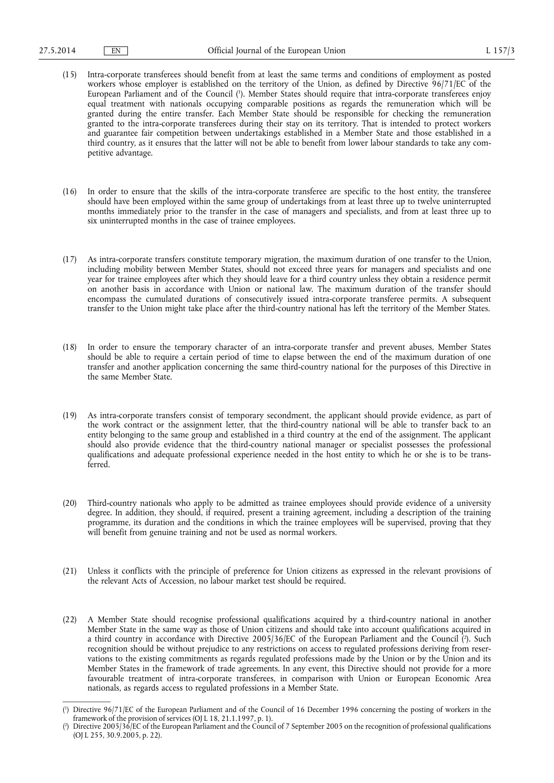- (15) Intra-corporate transferees should benefit from at least the same terms and conditions of employment as posted workers whose employer is established on the territory of the Union, as defined by Directive 96/71/EC of the European Parliament and of the Council ( 1 ). Member States should require that intra-corporate transferees enjoy equal treatment with nationals occupying comparable positions as regards the remuneration which will be granted during the entire transfer. Each Member State should be responsible for checking the remuneration granted to the intra-corporate transferees during their stay on its territory. That is intended to protect workers and guarantee fair competition between undertakings established in a Member State and those established in a third country, as it ensures that the latter will not be able to benefit from lower labour standards to take any competitive advantage.
- (16) In order to ensure that the skills of the intra-corporate transferee are specific to the host entity, the transferee should have been employed within the same group of undertakings from at least three up to twelve uninterrupted months immediately prior to the transfer in the case of managers and specialists, and from at least three up to six uninterrupted months in the case of trainee employees.
- (17) As intra-corporate transfers constitute temporary migration, the maximum duration of one transfer to the Union, including mobility between Member States, should not exceed three years for managers and specialists and one year for trainee employees after which they should leave for a third country unless they obtain a residence permit on another basis in accordance with Union or national law. The maximum duration of the transfer should encompass the cumulated durations of consecutively issued intra-corporate transferee permits. A subsequent transfer to the Union might take place after the third-country national has left the territory of the Member States.
- (18) In order to ensure the temporary character of an intra-corporate transfer and prevent abuses, Member States should be able to require a certain period of time to elapse between the end of the maximum duration of one transfer and another application concerning the same third-country national for the purposes of this Directive in the same Member State.
- (19) As intra-corporate transfers consist of temporary secondment, the applicant should provide evidence, as part of the work contract or the assignment letter, that the third-country national will be able to transfer back to an entity belonging to the same group and established in a third country at the end of the assignment. The applicant should also provide evidence that the third-country national manager or specialist possesses the professional qualifications and adequate professional experience needed in the host entity to which he or she is to be transferred.
- (20) Third-country nationals who apply to be admitted as trainee employees should provide evidence of a university degree. In addition, they should, if required, present a training agreement, including a description of the training programme, its duration and the conditions in which the trainee employees will be supervised, proving that they will benefit from genuine training and not be used as normal workers.
- (21) Unless it conflicts with the principle of preference for Union citizens as expressed in the relevant provisions of the relevant Acts of Accession, no labour market test should be required.
- (22) A Member State should recognise professional qualifications acquired by a third-country national in another Member State in the same way as those of Union citizens and should take into account qualifications acquired in a third country in accordance with Directive 2005/36/EC of the European Parliament and the Council ( 2 ). Such recognition should be without prejudice to any restrictions on access to regulated professions deriving from reservations to the existing commitments as regards regulated professions made by the Union or by the Union and its Member States in the framework of trade agreements. In any event, this Directive should not provide for a more favourable treatment of intra-corporate transferees, in comparison with Union or European Economic Area nationals, as regards access to regulated professions in a Member State.

<sup>(</sup> 1 ) Directive 96/71/EC of the European Parliament and of the Council of 16 December 1996 concerning the posting of workers in the framework of the provision of services (OJ L 18, 21.1.1997, p. 1).

<sup>(</sup> 2 ) Directive 2005/36/EC of the European Parliament and the Council of 7 September 2005 on the recognition of professional qualifications (OJ L 255, 30.9.2005, p. 22).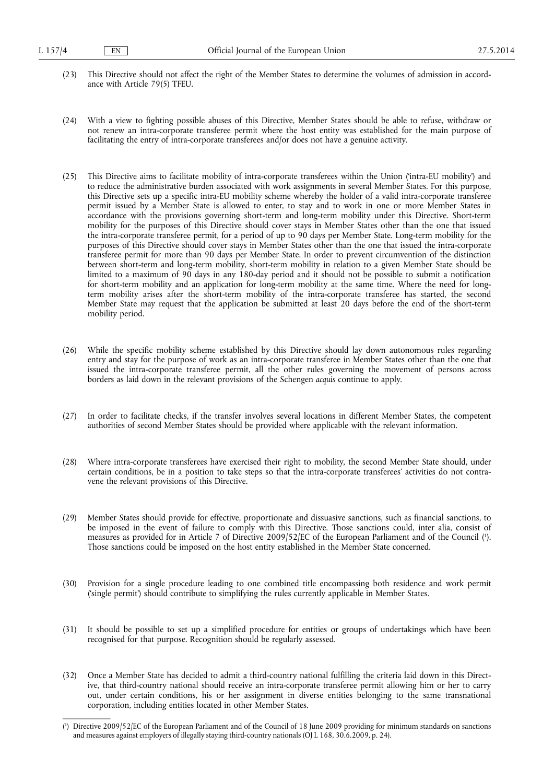- (23) This Directive should not affect the right of the Member States to determine the volumes of admission in accordance with Article 79(5) TFEU.
- (24) With a view to fighting possible abuses of this Directive, Member States should be able to refuse, withdraw or not renew an intra-corporate transferee permit where the host entity was established for the main purpose of facilitating the entry of intra-corporate transferees and/or does not have a genuine activity.
- (25) This Directive aims to facilitate mobility of intra-corporate transferees within the Union ('intra-EU mobility') and to reduce the administrative burden associated with work assignments in several Member States. For this purpose, this Directive sets up a specific intra-EU mobility scheme whereby the holder of a valid intra-corporate transferee permit issued by a Member State is allowed to enter, to stay and to work in one or more Member States in accordance with the provisions governing short-term and long-term mobility under this Directive. Short-term mobility for the purposes of this Directive should cover stays in Member States other than the one that issued the intra-corporate transferee permit, for a period of up to 90 days per Member State. Long-term mobility for the purposes of this Directive should cover stays in Member States other than the one that issued the intra-corporate transferee permit for more than 90 days per Member State. In order to prevent circumvention of the distinction between short-term and long-term mobility, short-term mobility in relation to a given Member State should be limited to a maximum of 90 days in any 180-day period and it should not be possible to submit a notification for short-term mobility and an application for long-term mobility at the same time. Where the need for longterm mobility arises after the short-term mobility of the intra-corporate transferee has started, the second Member State may request that the application be submitted at least 20 days before the end of the short-term mobility period.
- (26) While the specific mobility scheme established by this Directive should lay down autonomous rules regarding entry and stay for the purpose of work as an intra-corporate transferee in Member States other than the one that issued the intra-corporate transferee permit, all the other rules governing the movement of persons across borders as laid down in the relevant provisions of the Schengen *acquis* continue to apply.
- (27) In order to facilitate checks, if the transfer involves several locations in different Member States, the competent authorities of second Member States should be provided where applicable with the relevant information.
- (28) Where intra-corporate transferees have exercised their right to mobility, the second Member State should, under certain conditions, be in a position to take steps so that the intra-corporate transferees' activities do not contravene the relevant provisions of this Directive.
- (29) Member States should provide for effective, proportionate and dissuasive sanctions, such as financial sanctions, to be imposed in the event of failure to comply with this Directive. Those sanctions could, inter alia, consist of measures as provided for in Article 7 of Directive 2009/52/EC of the European Parliament and of the Council ( 1 ). Those sanctions could be imposed on the host entity established in the Member State concerned.
- (30) Provision for a single procedure leading to one combined title encompassing both residence and work permit ('single permit') should contribute to simplifying the rules currently applicable in Member States.
- (31) It should be possible to set up a simplified procedure for entities or groups of undertakings which have been recognised for that purpose. Recognition should be regularly assessed.
- (32) Once a Member State has decided to admit a third-country national fulfilling the criteria laid down in this Directive, that third-country national should receive an intra-corporate transferee permit allowing him or her to carry out, under certain conditions, his or her assignment in diverse entities belonging to the same transnational corporation, including entities located in other Member States.

<sup>(</sup> 1 ) Directive 2009/52/EC of the European Parliament and of the Council of 18 June 2009 providing for minimum standards on sanctions and measures against employers of illegally staying third-country nationals (OJ L 168, 30.6.2009, p. 24).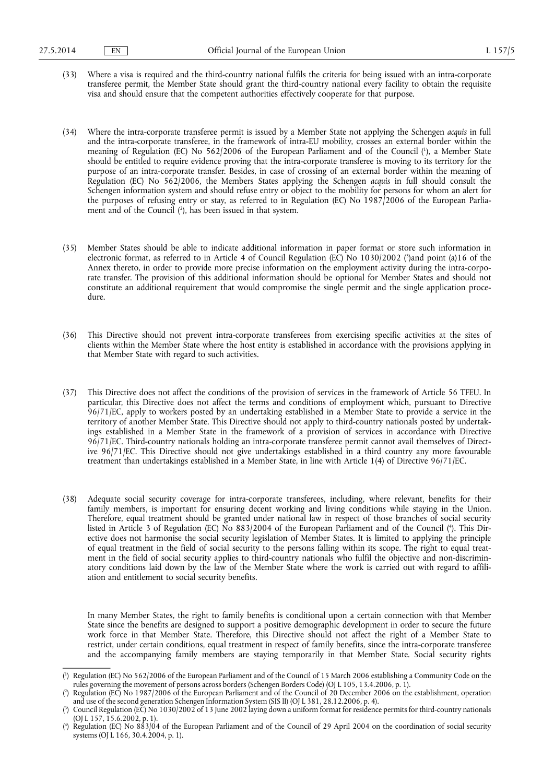(33) Where a visa is required and the third-country national fulfils the criteria for being issued with an intra-corporate transferee permit, the Member State should grant the third-country national every facility to obtain the requisite visa and should ensure that the competent authorities effectively cooperate for that purpose.

(34) Where the intra-corporate transferee permit is issued by a Member State not applying the Schengen *acquis* in full and the intra-corporate transferee, in the framework of intra-EU mobility, crosses an external border within the meaning of Regulation (EC) No 562/2006 of the European Parliament and of the Council ( 1 ), a Member State should be entitled to require evidence proving that the intra-corporate transferee is moving to its territory for the purpose of an intra-corporate transfer. Besides, in case of crossing of an external border within the meaning of Regulation (EC) No 562/2006, the Members States applying the Schengen *acquis* in full should consult the Schengen information system and should refuse entry or object to the mobility for persons for whom an alert for the purposes of refusing entry or stay, as referred to in Regulation (EC) No 1987/2006 of the European Parliament and of the Council ( 2 ), has been issued in that system.

- (35) Member States should be able to indicate additional information in paper format or store such information in electronic format, as referred to in Article 4 of Council Regulation (EC) No 1030/2002 ( 3 )and point (a)16 of the Annex thereto, in order to provide more precise information on the employment activity during the intra-corporate transfer. The provision of this additional information should be optional for Member States and should not constitute an additional requirement that would compromise the single permit and the single application procedure.
- (36) This Directive should not prevent intra-corporate transferees from exercising specific activities at the sites of clients within the Member State where the host entity is established in accordance with the provisions applying in that Member State with regard to such activities.
- (37) This Directive does not affect the conditions of the provision of services in the framework of Article 56 TFEU. In particular, this Directive does not affect the terms and conditions of employment which, pursuant to Directive 96/71/EC, apply to workers posted by an undertaking established in a Member State to provide a service in the territory of another Member State. This Directive should not apply to third-country nationals posted by undertakings established in a Member State in the framework of a provision of services in accordance with Directive 96/71/EC. Third-country nationals holding an intra-corporate transferee permit cannot avail themselves of Directive 96/71/EC. This Directive should not give undertakings established in a third country any more favourable treatment than undertakings established in a Member State, in line with Article 1(4) of Directive 96/71/EC.
- (38) Adequate social security coverage for intra-corporate transferees, including, where relevant, benefits for their family members, is important for ensuring decent working and living conditions while staying in the Union. Therefore, equal treatment should be granted under national law in respect of those branches of social security listed in Article 3 of Regulation (EC) No 883/2004 of the European Parliament and of the Council ( 4 ). This Directive does not harmonise the social security legislation of Member States. It is limited to applying the principle of equal treatment in the field of social security to the persons falling within its scope. The right to equal treatment in the field of social security applies to third-country nationals who fulfil the objective and non-discriminatory conditions laid down by the law of the Member State where the work is carried out with regard to affiliation and entitlement to social security benefits.

In many Member States, the right to family benefits is conditional upon a certain connection with that Member State since the benefits are designed to support a positive demographic development in order to secure the future work force in that Member State. Therefore, this Directive should not affect the right of a Member State to restrict, under certain conditions, equal treatment in respect of family benefits, since the intra-corporate transferee and the accompanying family members are staying temporarily in that Member State. Social security rights

<sup>(</sup> 1 ) Regulation (EC) No 562/2006 of the European Parliament and of the Council of 15 March 2006 establishing a Community Code on the rules governing the movement of persons across borders (Schengen Borders Code) (OJ L 105, 13.4.2006, p. 1).

<sup>(</sup> 2 ) Regulation (EC) No 1987/2006 of the European Parliament and of the Council of 20 December 2006 on the establishment, operation and use of the second generation Schengen Information System (SIS II) (OJ L 381, 28.12.2006, p. 4).

<sup>(</sup> 3 ) Council Regulation (EC) No 1030/2002 of 13 June 2002 laying down a uniform format for residence permits for third-country nationals (OJ L 157, 15.6.2002, p. 1).

<sup>(</sup> 4 ) Regulation (EC) No 883/04 of the European Parliament and of the Council of 29 April 2004 on the coordination of social security systems (OJ L 166, 30.4.2004, p. 1).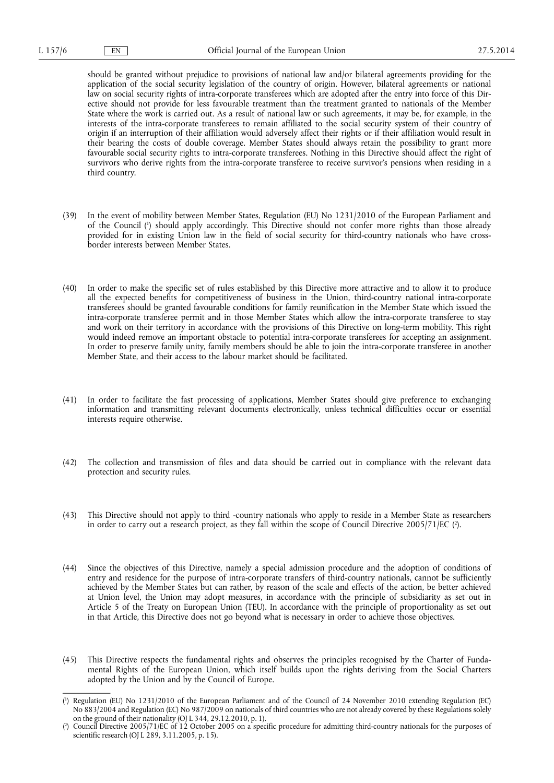should be granted without prejudice to provisions of national law and/or bilateral agreements providing for the application of the social security legislation of the country of origin. However, bilateral agreements or national law on social security rights of intra-corporate transferees which are adopted after the entry into force of this Directive should not provide for less favourable treatment than the treatment granted to nationals of the Member State where the work is carried out. As a result of national law or such agreements, it may be, for example, in the interests of the intra-corporate transferees to remain affiliated to the social security system of their country of origin if an interruption of their affiliation would adversely affect their rights or if their affiliation would result in their bearing the costs of double coverage. Member States should always retain the possibility to grant more favourable social security rights to intra-corporate transferees. Nothing in this Directive should affect the right of survivors who derive rights from the intra-corporate transferee to receive survivor's pensions when residing in a third country.

- (39) In the event of mobility between Member States, Regulation (EU) No 1231/2010 of the European Parliament and of the Council ( 1 ) should apply accordingly. This Directive should not confer more rights than those already provided for in existing Union law in the field of social security for third-country nationals who have crossborder interests between Member States.
- (40) In order to make the specific set of rules established by this Directive more attractive and to allow it to produce all the expected benefits for competitiveness of business in the Union, third-country national intra-corporate transferees should be granted favourable conditions for family reunification in the Member State which issued the intra-corporate transferee permit and in those Member States which allow the intra-corporate transferee to stay and work on their territory in accordance with the provisions of this Directive on long-term mobility. This right would indeed remove an important obstacle to potential intra-corporate transferees for accepting an assignment. In order to preserve family unity, family members should be able to join the intra-corporate transferee in another Member State, and their access to the labour market should be facilitated.
- (41) In order to facilitate the fast processing of applications, Member States should give preference to exchanging information and transmitting relevant documents electronically, unless technical difficulties occur or essential interests require otherwise.
- (42) The collection and transmission of files and data should be carried out in compliance with the relevant data protection and security rules.
- (43) This Directive should not apply to third -country nationals who apply to reside in a Member State as researchers in order to carry out a research project, as they fall within the scope of Council Directive 2005/71/EC ( 2 ).
- (44) Since the objectives of this Directive, namely a special admission procedure and the adoption of conditions of entry and residence for the purpose of intra-corporate transfers of third-country nationals, cannot be sufficiently achieved by the Member States but can rather, by reason of the scale and effects of the action, be better achieved at Union level, the Union may adopt measures, in accordance with the principle of subsidiarity as set out in Article 5 of the Treaty on European Union (TEU). In accordance with the principle of proportionality as set out in that Article, this Directive does not go beyond what is necessary in order to achieve those objectives.
- (45) This Directive respects the fundamental rights and observes the principles recognised by the Charter of Fundamental Rights of the European Union, which itself builds upon the rights deriving from the Social Charters adopted by the Union and by the Council of Europe.

<sup>(</sup> 1 ) Regulation (EU) No 1231/2010 of the European Parliament and of the Council of 24 November 2010 extending Regulation (EC) No 883/2004 and Regulation (EC) No 987/2009 on nationals of third countries who are not already covered by these Regulations solely on the ground of their nationality (OJ L 344, 29.12.2010, p. 1).

<sup>(</sup> 2 ) Council Directive 2005/71/EC of 12 October 2005 on a specific procedure for admitting third-country nationals for the purposes of scientific research (OJ L 289, 3.11.2005, p. 15).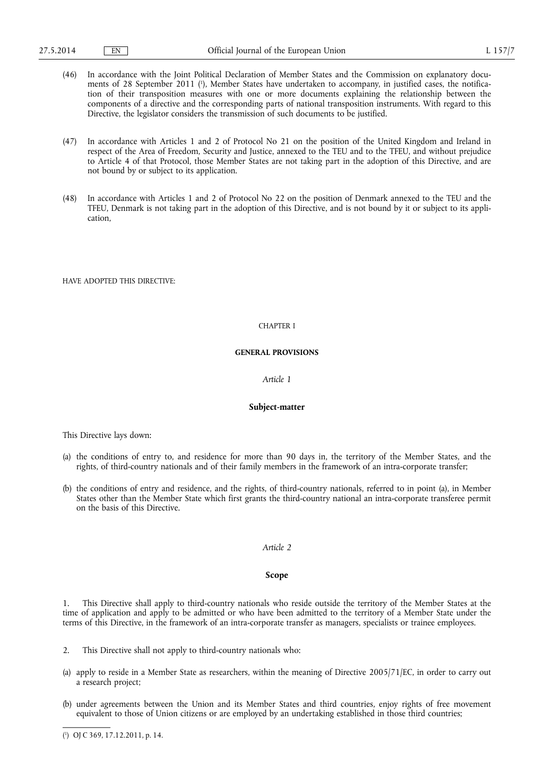- (46) In accordance with the Joint Political Declaration of Member States and the Commission on explanatory documents of 28 September 2011 ( 1 ), Member States have undertaken to accompany, in justified cases, the notification of their transposition measures with one or more documents explaining the relationship between the components of a directive and the corresponding parts of national transposition instruments. With regard to this Directive, the legislator considers the transmission of such documents to be justified.
- (47) In accordance with Articles 1 and 2 of Protocol No 21 on the position of the United Kingdom and Ireland in respect of the Area of Freedom, Security and Justice, annexed to the TEU and to the TFEU, and without prejudice to Article 4 of that Protocol, those Member States are not taking part in the adoption of this Directive, and are not bound by or subject to its application.
- (48) In accordance with Articles 1 and 2 of Protocol No 22 on the position of Denmark annexed to the TEU and the TFEU, Denmark is not taking part in the adoption of this Directive, and is not bound by it or subject to its application,

HAVE ADOPTED THIS DIRECTIVE:

#### CHAPTER I

#### **GENERAL PROVISIONS**

*Article 1* 

#### **Subject-matter**

This Directive lays down:

- (a) the conditions of entry to, and residence for more than 90 days in, the territory of the Member States, and the rights, of third-country nationals and of their family members in the framework of an intra-corporate transfer;
- (b) the conditions of entry and residence, and the rights, of third-country nationals, referred to in point (a), in Member States other than the Member State which first grants the third-country national an intra-corporate transferee permit on the basis of this Directive.

# *Article 2*

# **Scope**

1. This Directive shall apply to third-country nationals who reside outside the territory of the Member States at the time of application and apply to be admitted or who have been admitted to the territory of a Member State under the terms of this Directive, in the framework of an intra-corporate transfer as managers, specialists or trainee employees.

- 2. This Directive shall not apply to third-country nationals who:
- (a) apply to reside in a Member State as researchers, within the meaning of Directive 2005/71/EC, in order to carry out a research project;
- (b) under agreements between the Union and its Member States and third countries, enjoy rights of free movement equivalent to those of Union citizens or are employed by an undertaking established in those third countries;

<sup>(</sup> 1 ) OJ C 369, 17.12.2011, p. 14.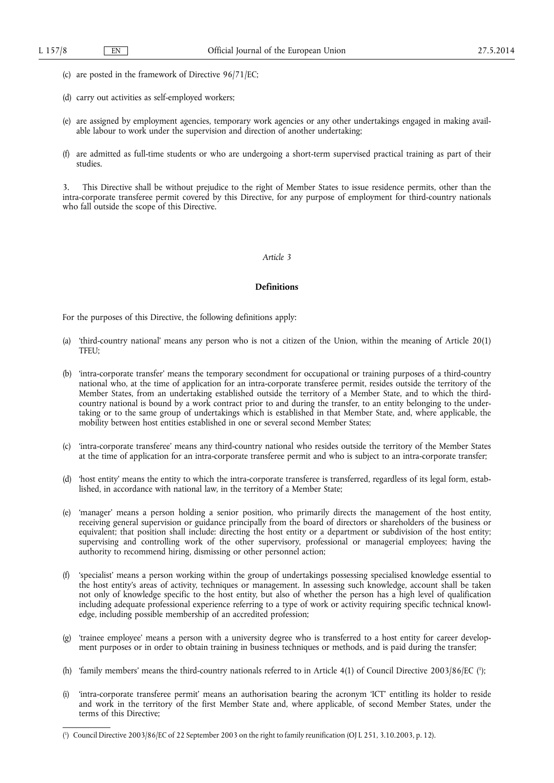- (c) are posted in the framework of Directive 96/71/EC;
- (d) carry out activities as self-employed workers;
- (e) are assigned by employment agencies, temporary work agencies or any other undertakings engaged in making available labour to work under the supervision and direction of another undertaking;
- (f) are admitted as full-time students or who are undergoing a short-term supervised practical training as part of their studies.

3. This Directive shall be without prejudice to the right of Member States to issue residence permits, other than the intra-corporate transferee permit covered by this Directive, for any purpose of employment for third-country nationals who fall outside the scope of this Directive.

#### *Article 3*

#### **Definitions**

For the purposes of this Directive, the following definitions apply:

- (a) 'third-country national' means any person who is not a citizen of the Union, within the meaning of Article 20(1) TFFI<sub>J</sub>.
- (b) 'intra-corporate transfer' means the temporary secondment for occupational or training purposes of a third-country national who, at the time of application for an intra-corporate transferee permit, resides outside the territory of the Member States, from an undertaking established outside the territory of a Member State, and to which the thirdcountry national is bound by a work contract prior to and during the transfer, to an entity belonging to the undertaking or to the same group of undertakings which is established in that Member State, and, where applicable, the mobility between host entities established in one or several second Member States;
- (c) 'intra-corporate transferee' means any third-country national who resides outside the territory of the Member States at the time of application for an intra-corporate transferee permit and who is subject to an intra-corporate transfer;
- (d) 'host entity' means the entity to which the intra-corporate transferee is transferred, regardless of its legal form, established, in accordance with national law, in the territory of a Member State;
- (e) 'manager' means a person holding a senior position, who primarily directs the management of the host entity, receiving general supervision or guidance principally from the board of directors or shareholders of the business or equivalent; that position shall include: directing the host entity or a department or subdivision of the host entity; supervising and controlling work of the other supervisory, professional or managerial employees; having the authority to recommend hiring, dismissing or other personnel action;
- (f) 'specialist' means a person working within the group of undertakings possessing specialised knowledge essential to the host entity's areas of activity, techniques or management. In assessing such knowledge, account shall be taken not only of knowledge specific to the host entity, but also of whether the person has a high level of qualification including adequate professional experience referring to a type of work or activity requiring specific technical knowledge, including possible membership of an accredited profession;
- (g) 'trainee employee' means a person with a university degree who is transferred to a host entity for career development purposes or in order to obtain training in business techniques or methods, and is paid during the transfer;
- (h) 'family members' means the third-country nationals referred to in Article  $4(1)$  of Council Directive 2003/86/EC (');
- (i) 'intra-corporate transferee permit' means an authorisation bearing the acronym 'ICT' entitling its holder to reside and work in the territory of the first Member State and, where applicable, of second Member States, under the terms of this Directive;

<sup>(</sup> 1 ) Council Directive 2003/86/EC of 22 September 2003 on the right to family reunification (OJ L 251, 3.10.2003, p. 12).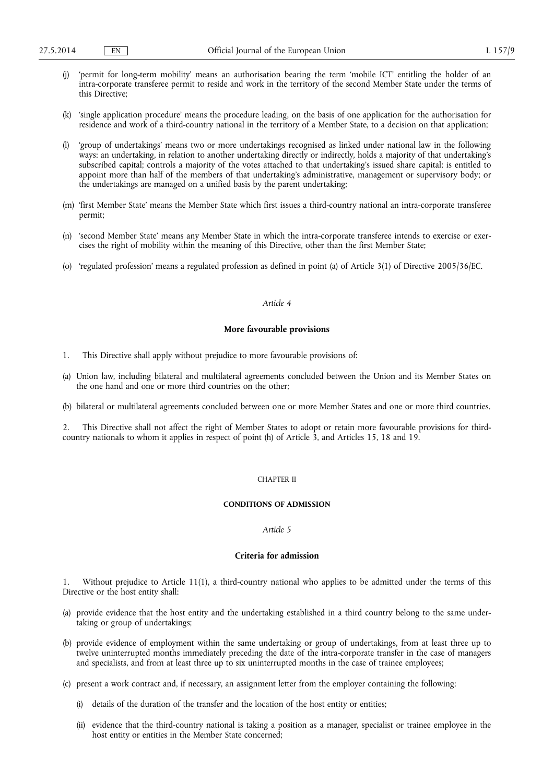- (j) 'permit for long-term mobility' means an authorisation bearing the term 'mobile ICT' entitling the holder of an intra-corporate transferee permit to reside and work in the territory of the second Member State under the terms of this Directive;
- (k) 'single application procedure' means the procedure leading, on the basis of one application for the authorisation for residence and work of a third-country national in the territory of a Member State, to a decision on that application;
- (l) 'group of undertakings' means two or more undertakings recognised as linked under national law in the following ways: an undertaking, in relation to another undertaking directly or indirectly, holds a majority of that undertaking's subscribed capital; controls a majority of the votes attached to that undertaking's issued share capital; is entitled to appoint more than half of the members of that undertaking's administrative, management or supervisory body; or the undertakings are managed on a unified basis by the parent undertaking;
- (m) 'first Member State' means the Member State which first issues a third-country national an intra-corporate transferee permit;
- (n) 'second Member State' means any Member State in which the intra-corporate transferee intends to exercise or exercises the right of mobility within the meaning of this Directive, other than the first Member State;
- (o) 'regulated profession' means a regulated profession as defined in point (a) of Article 3(1) of Directive 2005/36/EC.

#### *Article 4*

## **More favourable provisions**

- 1. This Directive shall apply without prejudice to more favourable provisions of:
- (a) Union law, including bilateral and multilateral agreements concluded between the Union and its Member States on the one hand and one or more third countries on the other;
- (b) bilateral or multilateral agreements concluded between one or more Member States and one or more third countries.

2. This Directive shall not affect the right of Member States to adopt or retain more favourable provisions for thirdcountry nationals to whom it applies in respect of point (h) of Article 3, and Articles 15, 18 and 19.

## CHAPTER II

## **CONDITIONS OF ADMISSION**

## *Article 5*

# **Criteria for admission**

Without prejudice to Article 11(1), a third-country national who applies to be admitted under the terms of this Directive or the host entity shall:

- (a) provide evidence that the host entity and the undertaking established in a third country belong to the same undertaking or group of undertakings;
- (b) provide evidence of employment within the same undertaking or group of undertakings, from at least three up to twelve uninterrupted months immediately preceding the date of the intra-corporate transfer in the case of managers and specialists, and from at least three up to six uninterrupted months in the case of trainee employees;
- (c) present a work contract and, if necessary, an assignment letter from the employer containing the following:
	- (i) details of the duration of the transfer and the location of the host entity or entities;
	- (ii) evidence that the third-country national is taking a position as a manager, specialist or trainee employee in the host entity or entities in the Member State concerned;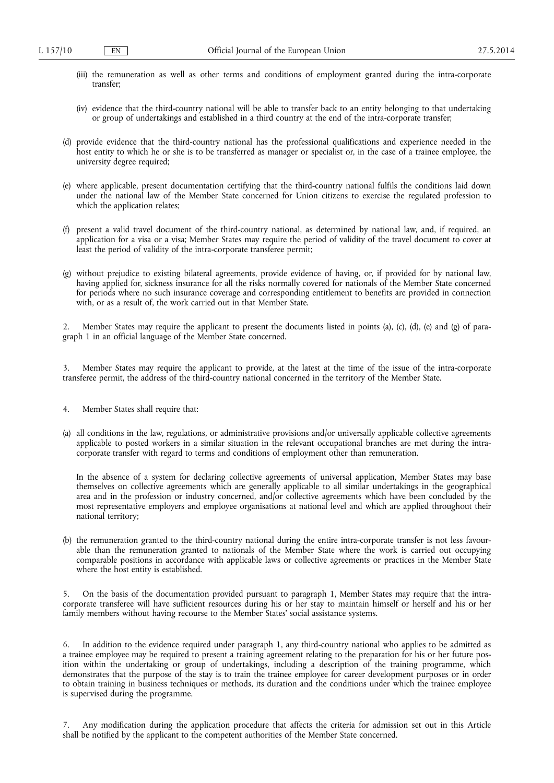- (iii) the remuneration as well as other terms and conditions of employment granted during the intra-corporate transfer;
- (iv) evidence that the third-country national will be able to transfer back to an entity belonging to that undertaking or group of undertakings and established in a third country at the end of the intra-corporate transfer;
- (d) provide evidence that the third-country national has the professional qualifications and experience needed in the host entity to which he or she is to be transferred as manager or specialist or, in the case of a trainee employee, the university degree required;
- (e) where applicable, present documentation certifying that the third-country national fulfils the conditions laid down under the national law of the Member State concerned for Union citizens to exercise the regulated profession to which the application relates;
- (f) present a valid travel document of the third-country national, as determined by national law, and, if required, an application for a visa or a visa; Member States may require the period of validity of the travel document to cover at least the period of validity of the intra-corporate transferee permit;
- (g) without prejudice to existing bilateral agreements, provide evidence of having, or, if provided for by national law, having applied for, sickness insurance for all the risks normally covered for nationals of the Member State concerned for periods where no such insurance coverage and corresponding entitlement to benefits are provided in connection with, or as a result of, the work carried out in that Member State.

2. Member States may require the applicant to present the documents listed in points (a), (c), (d), (e) and (g) of paragraph 1 in an official language of the Member State concerned.

3. Member States may require the applicant to provide, at the latest at the time of the issue of the intra-corporate transferee permit, the address of the third-country national concerned in the territory of the Member State.

- 4. Member States shall require that:
- (a) all conditions in the law, regulations, or administrative provisions and/or universally applicable collective agreements applicable to posted workers in a similar situation in the relevant occupational branches are met during the intracorporate transfer with regard to terms and conditions of employment other than remuneration.

In the absence of a system for declaring collective agreements of universal application, Member States may base themselves on collective agreements which are generally applicable to all similar undertakings in the geographical area and in the profession or industry concerned, and/or collective agreements which have been concluded by the most representative employers and employee organisations at national level and which are applied throughout their national territory;

(b) the remuneration granted to the third-country national during the entire intra-corporate transfer is not less favourable than the remuneration granted to nationals of the Member State where the work is carried out occupying comparable positions in accordance with applicable laws or collective agreements or practices in the Member State where the host entity is established.

5. On the basis of the documentation provided pursuant to paragraph 1, Member States may require that the intracorporate transferee will have sufficient resources during his or her stay to maintain himself or herself and his or her family members without having recourse to the Member States' social assistance systems.

6. In addition to the evidence required under paragraph 1, any third-country national who applies to be admitted as a trainee employee may be required to present a training agreement relating to the preparation for his or her future position within the undertaking or group of undertakings, including a description of the training programme, which demonstrates that the purpose of the stay is to train the trainee employee for career development purposes or in order to obtain training in business techniques or methods, its duration and the conditions under which the trainee employee is supervised during the programme.

7. Any modification during the application procedure that affects the criteria for admission set out in this Article shall be notified by the applicant to the competent authorities of the Member State concerned.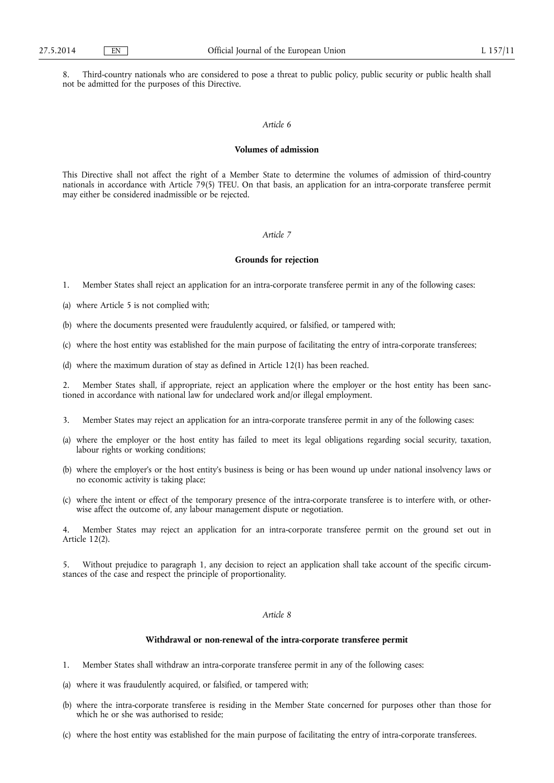8. Third-country nationals who are considered to pose a threat to public policy, public security or public health shall not be admitted for the purposes of this Directive.

#### *Article 6*

## **Volumes of admission**

This Directive shall not affect the right of a Member State to determine the volumes of admission of third-country nationals in accordance with Article 79(5) TFEU. On that basis, an application for an intra-corporate transferee permit may either be considered inadmissible or be rejected.

#### *Article 7*

#### **Grounds for rejection**

1. Member States shall reject an application for an intra-corporate transferee permit in any of the following cases:

(a) where Article 5 is not complied with;

(b) where the documents presented were fraudulently acquired, or falsified, or tampered with;

(c) where the host entity was established for the main purpose of facilitating the entry of intra-corporate transferees;

(d) where the maximum duration of stay as defined in Article 12(1) has been reached.

2. Member States shall, if appropriate, reject an application where the employer or the host entity has been sanctioned in accordance with national law for undeclared work and/or illegal employment.

- 3. Member States may reject an application for an intra-corporate transferee permit in any of the following cases:
- (a) where the employer or the host entity has failed to meet its legal obligations regarding social security, taxation, labour rights or working conditions;
- (b) where the employer's or the host entity's business is being or has been wound up under national insolvency laws or no economic activity is taking place;
- (c) where the intent or effect of the temporary presence of the intra-corporate transferee is to interfere with, or otherwise affect the outcome of, any labour management dispute or negotiation.

4. Member States may reject an application for an intra-corporate transferee permit on the ground set out in Article 12(2).

5. Without prejudice to paragraph 1, any decision to reject an application shall take account of the specific circumstances of the case and respect the principle of proportionality.

# *Article 8*

#### **Withdrawal or non-renewal of the intra-corporate transferee permit**

- 1. Member States shall withdraw an intra-corporate transferee permit in any of the following cases:
- (a) where it was fraudulently acquired, or falsified, or tampered with;
- (b) where the intra-corporate transferee is residing in the Member State concerned for purposes other than those for which he or she was authorised to reside;
- (c) where the host entity was established for the main purpose of facilitating the entry of intra-corporate transferees.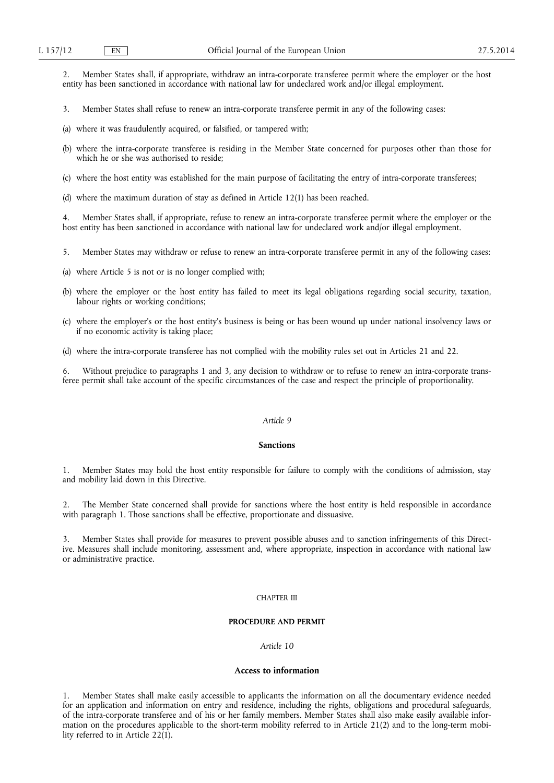2. Member States shall, if appropriate, withdraw an intra-corporate transferee permit where the employer or the host entity has been sanctioned in accordance with national law for undeclared work and/or illegal employment.

- 3. Member States shall refuse to renew an intra-corporate transferee permit in any of the following cases:
- (a) where it was fraudulently acquired, or falsified, or tampered with;
- (b) where the intra-corporate transferee is residing in the Member State concerned for purposes other than those for which he or she was authorised to reside;
- (c) where the host entity was established for the main purpose of facilitating the entry of intra-corporate transferees;
- (d) where the maximum duration of stay as defined in Article 12(1) has been reached.

4. Member States shall, if appropriate, refuse to renew an intra-corporate transferee permit where the employer or the host entity has been sanctioned in accordance with national law for undeclared work and/or illegal employment.

- 5. Member States may withdraw or refuse to renew an intra-corporate transferee permit in any of the following cases:
- (a) where Article 5 is not or is no longer complied with;
- (b) where the employer or the host entity has failed to meet its legal obligations regarding social security, taxation, labour rights or working conditions;
- (c) where the employer's or the host entity's business is being or has been wound up under national insolvency laws or if no economic activity is taking place;
- (d) where the intra-corporate transferee has not complied with the mobility rules set out in Articles 21 and 22.

6. Without prejudice to paragraphs 1 and 3, any decision to withdraw or to refuse to renew an intra-corporate transferee permit shall take account of the specific circumstances of the case and respect the principle of proportionality.

#### *Article 9*

#### **Sanctions**

1. Member States may hold the host entity responsible for failure to comply with the conditions of admission, stay and mobility laid down in this Directive.

2. The Member State concerned shall provide for sanctions where the host entity is held responsible in accordance with paragraph 1. Those sanctions shall be effective, proportionate and dissuasive.

3. Member States shall provide for measures to prevent possible abuses and to sanction infringements of this Directive. Measures shall include monitoring, assessment and, where appropriate, inspection in accordance with national law or administrative practice.

## CHAPTER III

## **PROCEDURE AND PERMIT**

## *Article 10*

#### **Access to information**

1. Member States shall make easily accessible to applicants the information on all the documentary evidence needed for an application and information on entry and residence, including the rights, obligations and procedural safeguards, of the intra-corporate transferee and of his or her family members. Member States shall also make easily available information on the procedures applicable to the short-term mobility referred to in Article 21(2) and to the long-term mobility referred to in Article 22(1).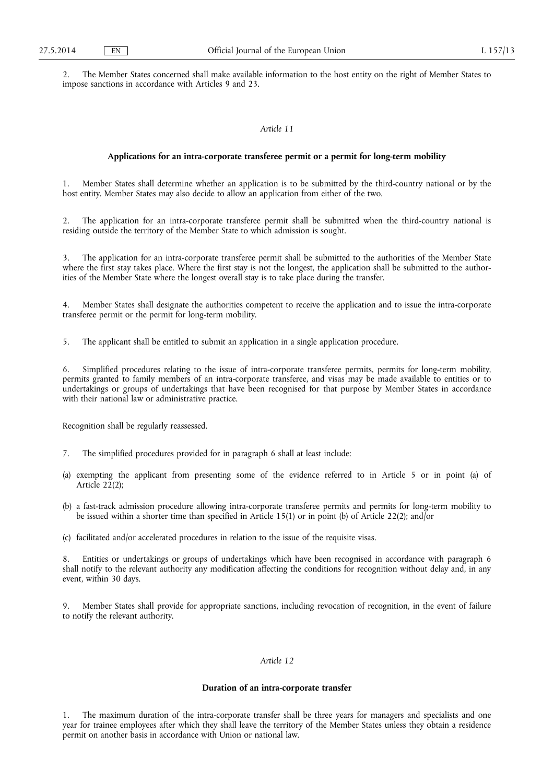2. The Member States concerned shall make available information to the host entity on the right of Member States to impose sanctions in accordance with Articles 9 and 23.

# *Article 11*

#### **Applications for an intra-corporate transferee permit or a permit for long-term mobility**

1. Member States shall determine whether an application is to be submitted by the third-country national or by the host entity. Member States may also decide to allow an application from either of the two.

2. The application for an intra-corporate transferee permit shall be submitted when the third-country national is residing outside the territory of the Member State to which admission is sought.

3. The application for an intra-corporate transferee permit shall be submitted to the authorities of the Member State where the first stay takes place. Where the first stay is not the longest, the application shall be submitted to the authorities of the Member State where the longest overall stay is to take place during the transfer.

4. Member States shall designate the authorities competent to receive the application and to issue the intra-corporate transferee permit or the permit for long-term mobility.

5. The applicant shall be entitled to submit an application in a single application procedure.

6. Simplified procedures relating to the issue of intra-corporate transferee permits, permits for long-term mobility, permits granted to family members of an intra-corporate transferee, and visas may be made available to entities or to undertakings or groups of undertakings that have been recognised for that purpose by Member States in accordance with their national law or administrative practice.

Recognition shall be regularly reassessed.

- 7. The simplified procedures provided for in paragraph 6 shall at least include:
- (a) exempting the applicant from presenting some of the evidence referred to in Article 5 or in point (a) of Article  $22(2)$ :
- (b) a fast-track admission procedure allowing intra-corporate transferee permits and permits for long-term mobility to be issued within a shorter time than specified in Article 15(1) or in point (b) of Article 22(2); and/or
- (c) facilitated and/or accelerated procedures in relation to the issue of the requisite visas.

8. Entities or undertakings or groups of undertakings which have been recognised in accordance with paragraph 6 shall notify to the relevant authority any modification affecting the conditions for recognition without delay and, in any event, within 30 days.

9. Member States shall provide for appropriate sanctions, including revocation of recognition, in the event of failure to notify the relevant authority.

## *Article 12*

## **Duration of an intra-corporate transfer**

1. The maximum duration of the intra-corporate transfer shall be three years for managers and specialists and one year for trainee employees after which they shall leave the territory of the Member States unless they obtain a residence permit on another basis in accordance with Union or national law.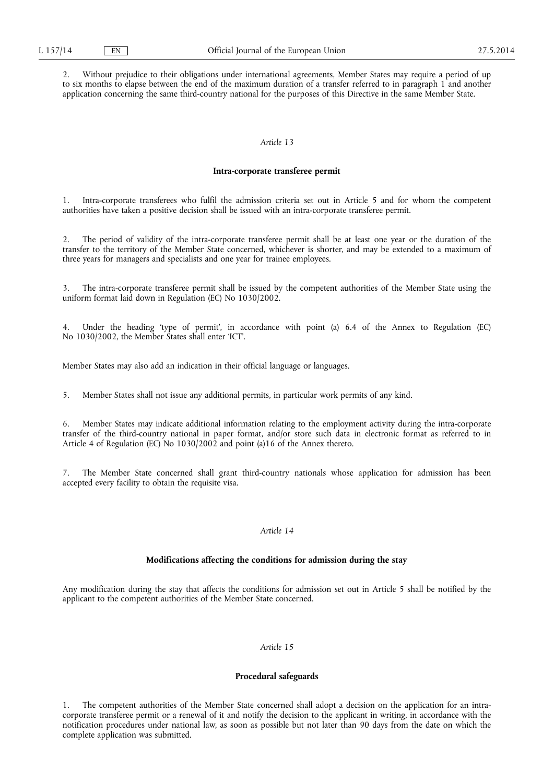2. Without prejudice to their obligations under international agreements, Member States may require a period of up to six months to elapse between the end of the maximum duration of a transfer referred to in paragraph 1 and another application concerning the same third-country national for the purposes of this Directive in the same Member State.

#### *Article 13*

#### **Intra-corporate transferee permit**

1. Intra-corporate transferees who fulfil the admission criteria set out in Article 5 and for whom the competent authorities have taken a positive decision shall be issued with an intra-corporate transferee permit.

2. The period of validity of the intra-corporate transferee permit shall be at least one year or the duration of the transfer to the territory of the Member State concerned, whichever is shorter, and may be extended to a maximum of three years for managers and specialists and one year for trainee employees.

3. The intra-corporate transferee permit shall be issued by the competent authorities of the Member State using the uniform format laid down in Regulation (EC) No 1030/2002.

4. Under the heading 'type of permit', in accordance with point (a) 6.4 of the Annex to Regulation (EC) No 1030/2002, the Member States shall enter 'ICT'.

Member States may also add an indication in their official language or languages.

5. Member States shall not issue any additional permits, in particular work permits of any kind.

6. Member States may indicate additional information relating to the employment activity during the intra-corporate transfer of the third-country national in paper format, and/or store such data in electronic format as referred to in Article 4 of Regulation (EC) No 1030/2002 and point (a)16 of the Annex thereto.

7. The Member State concerned shall grant third-country nationals whose application for admission has been accepted every facility to obtain the requisite visa.

# *Article 14*

## **Modifications affecting the conditions for admission during the stay**

Any modification during the stay that affects the conditions for admission set out in Article 5 shall be notified by the applicant to the competent authorities of the Member State concerned.

#### *Article 15*

## **Procedural safeguards**

1. The competent authorities of the Member State concerned shall adopt a decision on the application for an intracorporate transferee permit or a renewal of it and notify the decision to the applicant in writing, in accordance with the notification procedures under national law, as soon as possible but not later than 90 days from the date on which the complete application was submitted.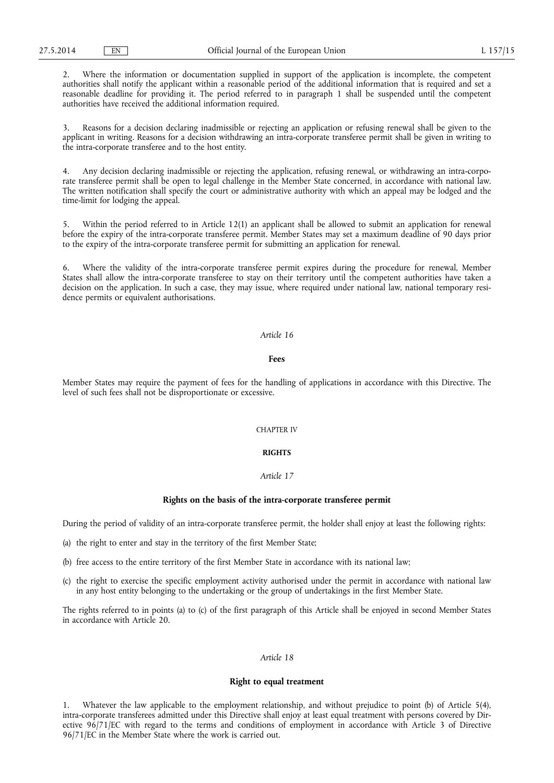2. Where the information or documentation supplied in support of the application is incomplete, the competent authorities shall notify the applicant within a reasonable period of the additional information that is required and set a reasonable deadline for providing it. The period referred to in paragraph 1 shall be suspended until the competent authorities have received the additional information required.

Reasons for a decision declaring inadmissible or rejecting an application or refusing renewal shall be given to the applicant in writing. Reasons for a decision withdrawing an intra-corporate transferee permit shall be given in writing to the intra-corporate transferee and to the host entity.

4. Any decision declaring inadmissible or rejecting the application, refusing renewal, or withdrawing an intra-corporate transferee permit shall be open to legal challenge in the Member State concerned, in accordance with national law. The written notification shall specify the court or administrative authority with which an appeal may be lodged and the time-limit for lodging the appeal.

5. Within the period referred to in Article 12(1) an applicant shall be allowed to submit an application for renewal before the expiry of the intra-corporate transferee permit. Member States may set a maximum deadline of 90 days prior to the expiry of the intra-corporate transferee permit for submitting an application for renewal.

6. Where the validity of the intra-corporate transferee permit expires during the procedure for renewal, Member States shall allow the intra-corporate transferee to stay on their territory until the competent authorities have taken a decision on the application. In such a case, they may issue, where required under national law, national temporary residence permits or equivalent authorisations.

## *Article 16*

#### **Fees**

Member States may require the payment of fees for the handling of applications in accordance with this Directive. The level of such fees shall not be disproportionate or excessive.

#### CHAPTER IV

# **RIGHTS**

# *Article 17*

#### **Rights on the basis of the intra-corporate transferee permit**

During the period of validity of an intra-corporate transferee permit, the holder shall enjoy at least the following rights:

- (a) the right to enter and stay in the territory of the first Member State;
- (b) free access to the entire territory of the first Member State in accordance with its national law;
- (c) the right to exercise the specific employment activity authorised under the permit in accordance with national law in any host entity belonging to the undertaking or the group of undertakings in the first Member State.

The rights referred to in points (a) to (c) of the first paragraph of this Article shall be enjoyed in second Member States in accordance with Article 20.

## *Article 18*

## **Right to equal treatment**

1. Whatever the law applicable to the employment relationship, and without prejudice to point (b) of Article 5(4), intra-corporate transferees admitted under this Directive shall enjoy at least equal treatment with persons covered by Directive 96/71/EC with regard to the terms and conditions of employment in accordance with Article 3 of Directive 96/71/EC in the Member State where the work is carried out.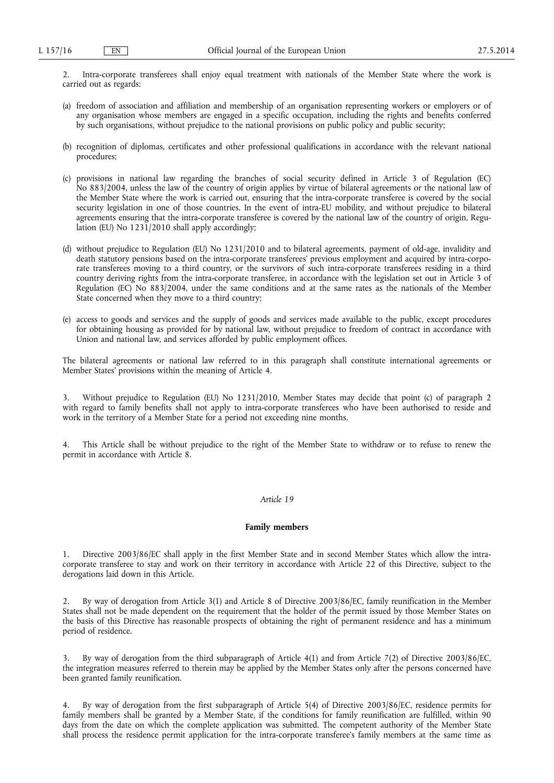2. Intra-corporate transferees shall enjoy equal treatment with nationals of the Member State where the work is carried out as regards:

- (a) freedom of association and affiliation and membership of an organisation representing workers or employers or of any organisation whose members are engaged in a specific occupation, including the rights and benefits conferred by such organisations, without prejudice to the national provisions on public policy and public security;
- (b) recognition of diplomas, certificates and other professional qualifications in accordance with the relevant national procedures;
- (c) provisions in national law regarding the branches of social security defined in Article 3 of Regulation (EC) No 883/2004, unless the law of the country of origin applies by virtue of bilateral agreements or the national law of the Member State where the work is carried out, ensuring that the intra-corporate transferee is covered by the social security legislation in one of those countries. In the event of intra-EU mobility, and without prejudice to bilateral agreements ensuring that the intra-corporate transferee is covered by the national law of the country of origin, Regulation (EU) No  $1231/2010$  shall apply accordingly;
- (d) without prejudice to Regulation (EU) No 1231/2010 and to bilateral agreements, payment of old-age, invalidity and death statutory pensions based on the intra-corporate transferees' previous employment and acquired by intra-corporate transferees moving to a third country, or the survivors of such intra-corporate transferees residing in a third country deriving rights from the intra-corporate transferee, in accordance with the legislation set out in Article 3 of Regulation (EC) No 883/2004, under the same conditions and at the same rates as the nationals of the Member State concerned when they move to a third country;
- (e) access to goods and services and the supply of goods and services made available to the public, except procedures for obtaining housing as provided for by national law, without prejudice to freedom of contract in accordance with Union and national law, and services afforded by public employment offices.

The bilateral agreements or national law referred to in this paragraph shall constitute international agreements or Member States' provisions within the meaning of Article 4.

3. Without prejudice to Regulation (EU) No 1231/2010, Member States may decide that point (c) of paragraph 2 with regard to family benefits shall not apply to intra-corporate transferees who have been authorised to reside and work in the territory of a Member State for a period not exceeding nine months.

4. This Article shall be without prejudice to the right of the Member State to withdraw or to refuse to renew the permit in accordance with Article 8.

#### *Article 19*

## **Family members**

1. Directive 2003/86/EC shall apply in the first Member State and in second Member States which allow the intracorporate transferee to stay and work on their territory in accordance with Article 22 of this Directive, subject to the derogations laid down in this Article.

2. By way of derogation from Article 3(1) and Article 8 of Directive 2003/86/EC, family reunification in the Member States shall not be made dependent on the requirement that the holder of the permit issued by those Member States on the basis of this Directive has reasonable prospects of obtaining the right of permanent residence and has a minimum period of residence.

3. By way of derogation from the third subparagraph of Article 4(1) and from Article 7(2) of Directive 2003/86/EC, the integration measures referred to therein may be applied by the Member States only after the persons concerned have been granted family reunification.

4. By way of derogation from the first subparagraph of Article 5(4) of Directive 2003/86/EC, residence permits for family members shall be granted by a Member State, if the conditions for family reunification are fulfilled, within 90 days from the date on which the complete application was submitted. The competent authority of the Member State shall process the residence permit application for the intra-corporate transferee's family members at the same time as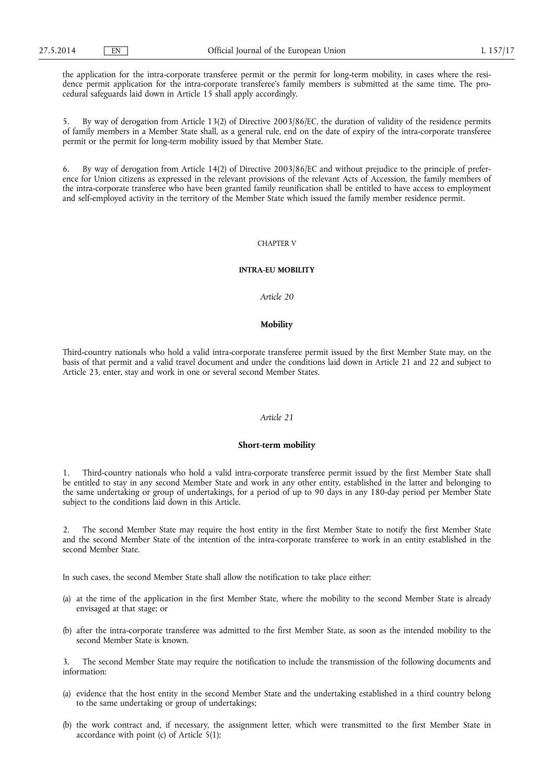the application for the intra-corporate transferee permit or the permit for long-term mobility, in cases where the residence permit application for the intra-corporate transferee's family members is submitted at the same time. The procedural safeguards laid down in Article 15 shall apply accordingly.

5. By way of derogation from Article 13(2) of Directive 2003/86/EC, the duration of validity of the residence permits of family members in a Member State shall, as a general rule, end on the date of expiry of the intra-corporate transferee permit or the permit for long-term mobility issued by that Member State.

6. By way of derogation from Article 14(2) of Directive 2003/86/EC and without prejudice to the principle of preference for Union citizens as expressed in the relevant provisions of the relevant Acts of Accession, the family members of the intra-corporate transferee who have been granted family reunification shall be entitled to have access to employment and self-employed activity in the territory of the Member State which issued the family member residence permit.

## CHAPTER V

# **INTRA-EU MOBILITY**

*Article 20* 

#### **Mobility**

Third-country nationals who hold a valid intra-corporate transferee permit issued by the first Member State may, on the basis of that permit and a valid travel document and under the conditions laid down in Article 21 and 22 and subject to Article 23, enter, stay and work in one or several second Member States.

## *Article 21*

# **Short-term mobility**

1. Third-country nationals who hold a valid intra-corporate transferee permit issued by the first Member State shall be entitled to stay in any second Member State and work in any other entity, established in the latter and belonging to the same undertaking or group of undertakings, for a period of up to 90 days in any 180-day period per Member State subject to the conditions laid down in this Article.

2. The second Member State may require the host entity in the first Member State to notify the first Member State and the second Member State of the intention of the intra-corporate transferee to work in an entity established in the second Member State.

In such cases, the second Member State shall allow the notification to take place either:

- (a) at the time of the application in the first Member State, where the mobility to the second Member State is already envisaged at that stage; or
- (b) after the intra-corporate transferee was admitted to the first Member State, as soon as the intended mobility to the second Member State is known.

3. The second Member State may require the notification to include the transmission of the following documents and information:

- (a) evidence that the host entity in the second Member State and the undertaking established in a third country belong to the same undertaking or group of undertakings;
- (b) the work contract and, if necessary, the assignment letter, which were transmitted to the first Member State in accordance with point (c) of Article 5(1);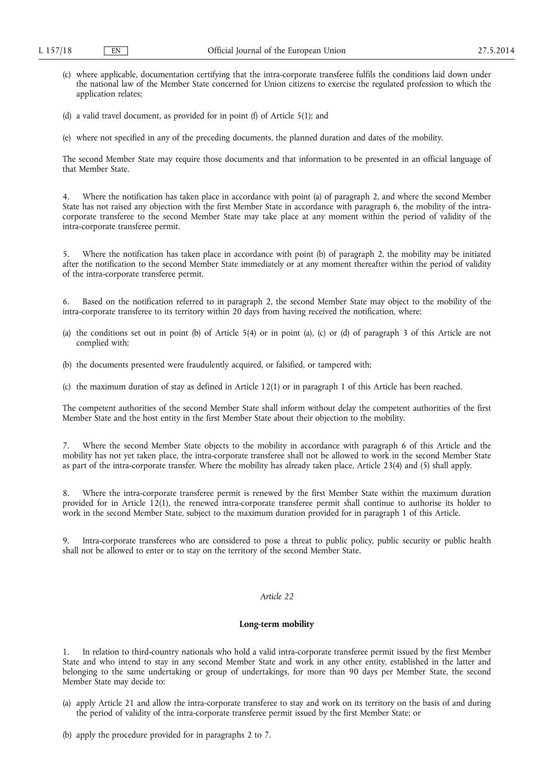- (c) where applicable, documentation certifying that the intra-corporate transferee fulfils the conditions laid down under the national law of the Member State concerned for Union citizens to exercise the regulated profession to which the application relates;
- (d) a valid travel document, as provided for in point (f) of Article 5(1); and
- (e) where not specified in any of the preceding documents, the planned duration and dates of the mobility.

The second Member State may require those documents and that information to be presented in an official language of that Member State.

4. Where the notification has taken place in accordance with point (a) of paragraph 2, and where the second Member State has not raised any objection with the first Member State in accordance with paragraph 6, the mobility of the intracorporate transferee to the second Member State may take place at any moment within the period of validity of the intra-corporate transferee permit.

Where the notification has taken place in accordance with point (b) of paragraph 2, the mobility may be initiated after the notification to the second Member State immediately or at any moment thereafter within the period of validity of the intra-corporate transferee permit.

6. Based on the notification referred to in paragraph 2, the second Member State may object to the mobility of the intra-corporate transferee to its territory within 20 days from having received the notification, where:

- (a) the conditions set out in point  $(b)$  of Article 5(4) or in point (a), (c) or (d) of paragraph 3 of this Article are not complied with;
- (b) the documents presented were fraudulently acquired, or falsified, or tampered with;
- (c) the maximum duration of stay as defined in Article 12(1) or in paragraph 1 of this Article has been reached.

The competent authorities of the second Member State shall inform without delay the competent authorities of the first Member State and the host entity in the first Member State about their objection to the mobility.

7. Where the second Member State objects to the mobility in accordance with paragraph 6 of this Article and the mobility has not yet taken place, the intra-corporate transferee shall not be allowed to work in the second Member State as part of the intra-corporate transfer. Where the mobility has already taken place, Article 23(4) and (5) shall apply.

8. Where the intra-corporate transferee permit is renewed by the first Member State within the maximum duration provided for in Article 12(1), the renewed intra-corporate transferee permit shall continue to authorise its holder to work in the second Member State, subject to the maximum duration provided for in paragraph 1 of this Article.

9. Intra-corporate transferees who are considered to pose a threat to public policy, public security or public health shall not be allowed to enter or to stay on the territory of the second Member State.

## *Article 22*

## **Long-term mobility**

1. In relation to third-country nationals who hold a valid intra-corporate transferee permit issued by the first Member State and who intend to stay in any second Member State and work in any other entity, established in the latter and belonging to the same undertaking or group of undertakings, for more than 90 days per Member State, the second Member State may decide to:

- (a) apply Article 21 and allow the intra-corporate transferee to stay and work on its territory on the basis of and during the period of validity of the intra-corporate transferee permit issued by the first Member State; or
- (b) apply the procedure provided for in paragraphs 2 to 7.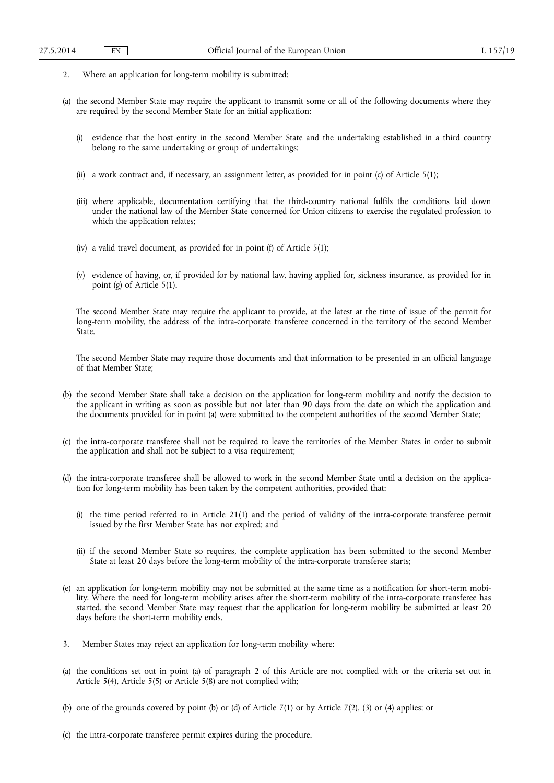- 2. Where an application for long-term mobility is submitted:
- (a) the second Member State may require the applicant to transmit some or all of the following documents where they are required by the second Member State for an initial application:
	- evidence that the host entity in the second Member State and the undertaking established in a third country belong to the same undertaking or group of undertakings;
	- (ii) a work contract and, if necessary, an assignment letter, as provided for in point (c) of Article 5(1);
	- (iii) where applicable, documentation certifying that the third-country national fulfils the conditions laid down under the national law of the Member State concerned for Union citizens to exercise the regulated profession to which the application relates;
	- (iv) a valid travel document, as provided for in point (f) of Article 5(1);
	- (v) evidence of having, or, if provided for by national law, having applied for, sickness insurance, as provided for in point (g) of Article 5(1).

The second Member State may require the applicant to provide, at the latest at the time of issue of the permit for long-term mobility, the address of the intra-corporate transferee concerned in the territory of the second Member State.

The second Member State may require those documents and that information to be presented in an official language of that Member State;

- (b) the second Member State shall take a decision on the application for long-term mobility and notify the decision to the applicant in writing as soon as possible but not later than 90 days from the date on which the application and the documents provided for in point (a) were submitted to the competent authorities of the second Member State;
- (c) the intra-corporate transferee shall not be required to leave the territories of the Member States in order to submit the application and shall not be subject to a visa requirement;
- (d) the intra-corporate transferee shall be allowed to work in the second Member State until a decision on the application for long-term mobility has been taken by the competent authorities, provided that:
	- (i) the time period referred to in Article 21(1) and the period of validity of the intra-corporate transferee permit issued by the first Member State has not expired; and
	- (ii) if the second Member State so requires, the complete application has been submitted to the second Member State at least 20 days before the long-term mobility of the intra-corporate transferee starts;
- (e) an application for long-term mobility may not be submitted at the same time as a notification for short-term mobility. Where the need for long-term mobility arises after the short-term mobility of the intra-corporate transferee has started, the second Member State may request that the application for long-term mobility be submitted at least 20 days before the short-term mobility ends.
- 3. Member States may reject an application for long-term mobility where:
- (a) the conditions set out in point (a) of paragraph 2 of this Article are not complied with or the criteria set out in Article 5(4), Article 5(5) or Article 5(8) are not complied with;
- (b) one of the grounds covered by point (b) or (d) of Article 7(1) or by Article 7(2), (3) or (4) applies; or
- (c) the intra-corporate transferee permit expires during the procedure.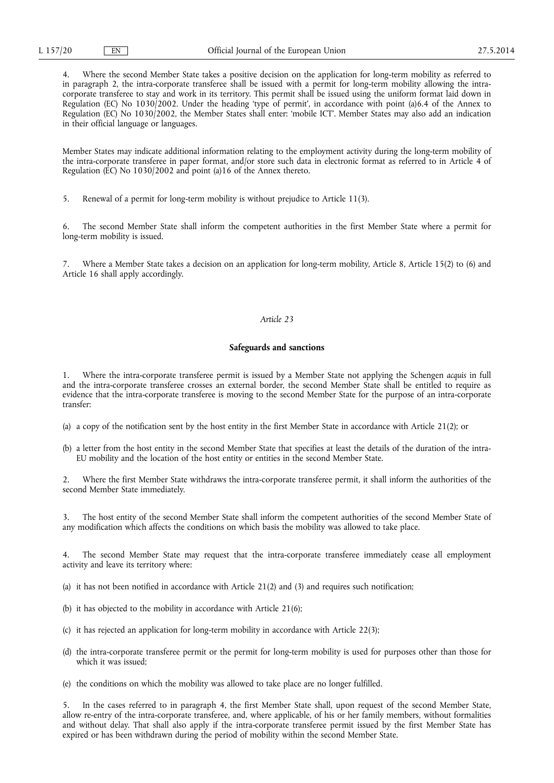4. Where the second Member State takes a positive decision on the application for long-term mobility as referred to in paragraph 2, the intra-corporate transferee shall be issued with a permit for long-term mobility allowing the intracorporate transferee to stay and work in its territory. This permit shall be issued using the uniform format laid down in Regulation (EC) No 1030/2002. Under the heading 'type of permit', in accordance with point (a)6.4 of the Annex to Regulation (EC) No 1030/2002, the Member States shall enter: 'mobile ICT'. Member States may also add an indication in their official language or languages.

Member States may indicate additional information relating to the employment activity during the long-term mobility of the intra-corporate transferee in paper format, and/or store such data in electronic format as referred to in Article 4 of Regulation (EC) No 1030/2002 and point (a)16 of the Annex thereto.

5. Renewal of a permit for long-term mobility is without prejudice to Article 11(3).

6. The second Member State shall inform the competent authorities in the first Member State where a permit for long-term mobility is issued.

7. Where a Member State takes a decision on an application for long-term mobility, Article 8, Article 15(2) to (6) and Article 16 shall apply accordingly.

# *Article 23*

#### **Safeguards and sanctions**

1. Where the intra-corporate transferee permit is issued by a Member State not applying the Schengen *acquis* in full and the intra-corporate transferee crosses an external border, the second Member State shall be entitled to require as evidence that the intra-corporate transferee is moving to the second Member State for the purpose of an intra-corporate transfer:

(a) a copy of the notification sent by the host entity in the first Member State in accordance with Article 21(2); or

(b) a letter from the host entity in the second Member State that specifies at least the details of the duration of the intra-EU mobility and the location of the host entity or entities in the second Member State.

2. Where the first Member State withdraws the intra-corporate transferee permit, it shall inform the authorities of the second Member State immediately.

3. The host entity of the second Member State shall inform the competent authorities of the second Member State of any modification which affects the conditions on which basis the mobility was allowed to take place.

4. The second Member State may request that the intra-corporate transferee immediately cease all employment activity and leave its territory where:

(a) it has not been notified in accordance with Article 21(2) and (3) and requires such notification;

- (b) it has objected to the mobility in accordance with Article 21(6);
- (c) it has rejected an application for long-term mobility in accordance with Article 22(3);
- (d) the intra-corporate transferee permit or the permit for long-term mobility is used for purposes other than those for which it was issued:
- (e) the conditions on which the mobility was allowed to take place are no longer fulfilled.

5. In the cases referred to in paragraph 4, the first Member State shall, upon request of the second Member State, allow re-entry of the intra-corporate transferee, and, where applicable, of his or her family members, without formalities and without delay. That shall also apply if the intra-corporate transferee permit issued by the first Member State has expired or has been withdrawn during the period of mobility within the second Member State.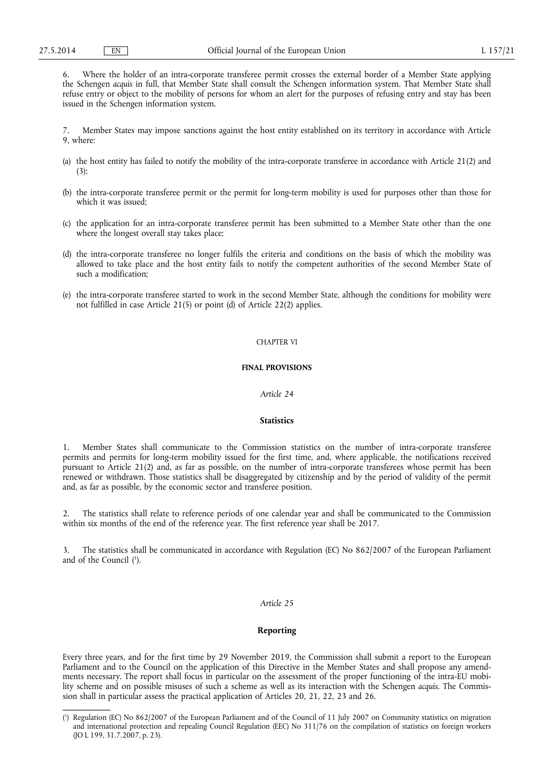6. Where the holder of an intra-corporate transferee permit crosses the external border of a Member State applying the Schengen *acquis* in full, that Member State shall consult the Schengen information system. That Member State shall refuse entry or object to the mobility of persons for whom an alert for the purposes of refusing entry and stay has been issued in the Schengen information system.

7. Member States may impose sanctions against the host entity established on its territory in accordance with Article 9, where:

- (a) the host entity has failed to notify the mobility of the intra-corporate transferee in accordance with Article 21(2) and  $(3)$ :
- (b) the intra-corporate transferee permit or the permit for long-term mobility is used for purposes other than those for which it was issued;
- (c) the application for an intra-corporate transferee permit has been submitted to a Member State other than the one where the longest overall stay takes place;
- (d) the intra-corporate transferee no longer fulfils the criteria and conditions on the basis of which the mobility was allowed to take place and the host entity fails to notify the competent authorities of the second Member State of such a modification;
- (e) the intra-corporate transferee started to work in the second Member State, although the conditions for mobility were not fulfilled in case Article 21(5) or point (d) of Article 22(2) applies.

## CHAPTER VI

#### **FINAL PROVISIONS**

## *Article 24*

## **Statistics**

1. Member States shall communicate to the Commission statistics on the number of intra-corporate transferee permits and permits for long-term mobility issued for the first time, and, where applicable, the notifications received pursuant to Article 21(2) and, as far as possible, on the number of intra-corporate transferees whose permit has been renewed or withdrawn. Those statistics shall be disaggregated by citizenship and by the period of validity of the permit and, as far as possible, by the economic sector and transferee position.

2. The statistics shall relate to reference periods of one calendar year and shall be communicated to the Commission within six months of the end of the reference year. The first reference year shall be 2017.

3. The statistics shall be communicated in accordance with Regulation (EC) No 862/2007 of the European Parliament and of the Council ( 1 ).

#### *Article 25*

#### **Reporting**

Every three years, and for the first time by 29 November 2019, the Commission shall submit a report to the European Parliament and to the Council on the application of this Directive in the Member States and shall propose any amendments necessary. The report shall focus in particular on the assessment of the proper functioning of the intra-EU mobility scheme and on possible misuses of such a scheme as well as its interaction with the Schengen *acquis*. The Commission shall in particular assess the practical application of Articles 20, 21, 22, 23 and 26.

<sup>(</sup> 1 ) Regulation (EC) No 862/2007 of the European Parliament and of the Council of 11 July 2007 on Community statistics on migration and international protection and repealing Council Regulation (EEC) No 311/76 on the compilation of statistics on foreign workers (JO L 199, 31.7.2007, p. 23).